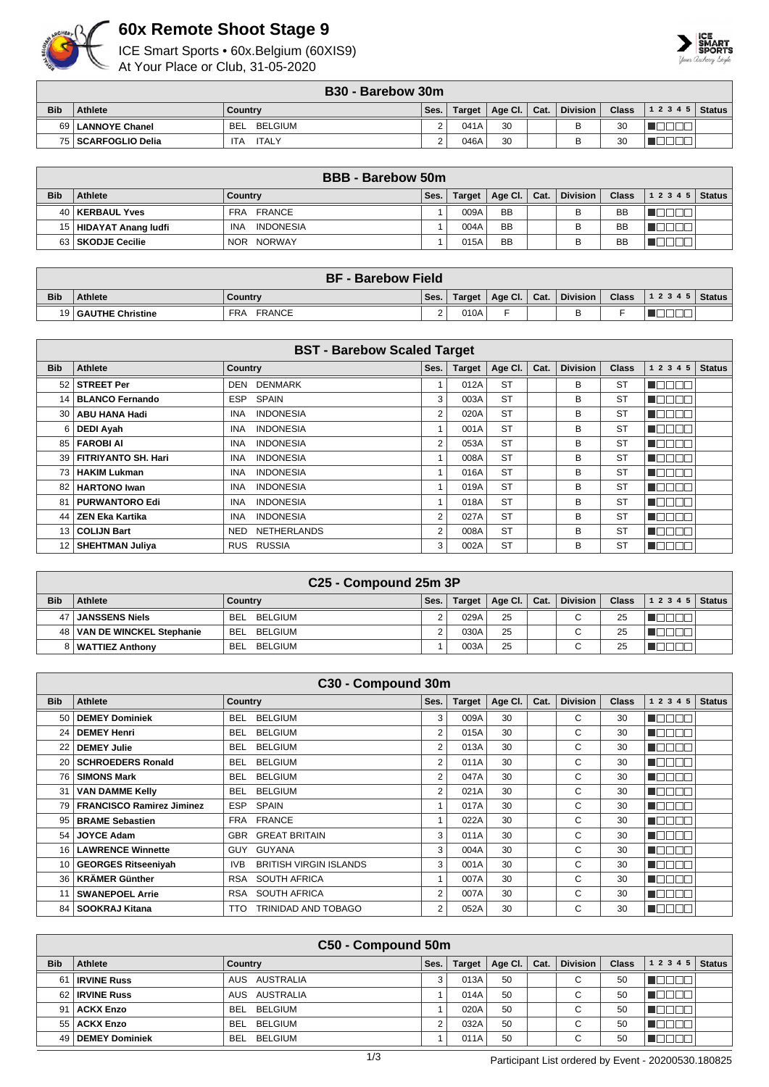

## **60x Remote Shoot Stage 9**

ICE Smart Sports • 60x.Belgium (60XIS9) At Your Place or Club, 31-05-2020



|            | <b>B30 - Barebow 30m</b> |                     |      |        |         |        |                 |       |                |  |  |
|------------|--------------------------|---------------------|------|--------|---------|--------|-----------------|-------|----------------|--|--|
| <b>Bib</b> | <b>Athlete</b>           | Country             | Ses. | Target | Age Cl. | ∣ Cat. | <b>Division</b> | Class | $12345$ Status |  |  |
|            | 69   LANNOYE Chanel      | BELGIUM<br>BEL      |      | 041A   | 30      |        |                 | 30    |                |  |  |
|            | 75   SCARFOGLIO Delia    | <b>ITALY</b><br>'TA |      | 046A   | 30      |        |                 | 30    |                |  |  |

|            | <b>BBB</b> - Barebow 50m |                                |      |               |           |      |                 |              |       |        |  |
|------------|--------------------------|--------------------------------|------|---------------|-----------|------|-----------------|--------------|-------|--------|--|
| <b>Bib</b> | <b>Athlete</b>           | Country                        | Ses. | <b>Target</b> | Age Cl.   | Cat. | <b>Division</b> | <b>Class</b> | 12345 | Status |  |
|            | 40   KERBAUL Yves        | FRA FRANCE                     |      | 009A          | <b>BB</b> |      | В               | BB           |       |        |  |
|            | 15   HIDAYAT Anang ludfi | <b>INDONESIA</b><br><b>INA</b> |      | 004A          | <b>BB</b> |      |                 | BB           |       |        |  |
|            | 63 SKODJE Cecilie        | NOR NORWAY                     |      | 015A          | <b>BB</b> |      |                 | BB           |       |        |  |

|            | <b>BF - Barebow Field</b> |                             |      |        |                |  |          |              |                    |  |  |  |
|------------|---------------------------|-----------------------------|------|--------|----------------|--|----------|--------------|--------------------|--|--|--|
| <b>Bib</b> | <b>Athlete</b>            | Country                     | Ses. | Target | Age Cl.   Cat. |  | Division | <b>Class</b> | 1 2 3 4 5   Status |  |  |  |
|            | 19   GAUTHE Christine     | <b>FRANCE</b><br><b>FRA</b> |      | 010A   |                |  |          |              |                    |  |  |  |

| <b>BST - Barebow Scaled Target</b> |                            |                                |      |               |           |      |                 |              |           |               |  |  |
|------------------------------------|----------------------------|--------------------------------|------|---------------|-----------|------|-----------------|--------------|-----------|---------------|--|--|
| <b>Bib</b>                         | <b>Athlete</b>             | Country                        | Ses. | <b>Target</b> | Age CI.   | Cat. | <b>Division</b> | <b>Class</b> | 1 2 3 4 5 | <b>Status</b> |  |  |
| 52                                 | <b>STREET Per</b>          | <b>DENMARK</b><br>DEN          |      | 012A          | <b>ST</b> |      | В               | <b>ST</b>    |           |               |  |  |
| 14 <sup>1</sup>                    | <b>BLANCO Fernando</b>     | SPAIN<br>ESP.                  | 3    | 003A          | <b>ST</b> |      | в               | <b>ST</b>    |           |               |  |  |
| 30 <sub>1</sub>                    | <b>ABU HANA Hadi</b>       | <b>INDONESIA</b><br><b>INA</b> | 2    | 020A          | <b>ST</b> |      | в               | <b>ST</b>    |           |               |  |  |
| 6.                                 | DEDI Ayah                  | <b>INDONESIA</b><br><b>INA</b> |      | 001A          | <b>ST</b> |      | в               | <b>ST</b>    |           |               |  |  |
| 85 l                               | <b>FAROBIAI</b>            | <b>INDONESIA</b><br><b>INA</b> | 2    | 053A          | <b>ST</b> |      | в               | <b>ST</b>    | N E E E   |               |  |  |
| 39                                 | <b>FITRIYANTO SH. Hari</b> | <b>INDONESIA</b><br>INA        |      | 008A          | <b>ST</b> |      | в               | <b>ST</b>    | 100 O O   |               |  |  |
| 73 I                               | <b>HAKIM Lukman</b>        | <b>INDONESIA</b><br><b>INA</b> |      | 016A          | <b>ST</b> |      | В               | <b>ST</b>    | TOOOO     |               |  |  |
| 82                                 | <b>HARTONO Iwan</b>        | <b>INDONESIA</b><br><b>INA</b> |      | 019A          | <b>ST</b> |      | в               | <b>ST</b>    | ┱         |               |  |  |
| 81                                 | <b>PURWANTORO Edi</b>      | <b>INDONESIA</b><br><b>INA</b> |      | 018A          | <b>ST</b> |      | в               | <b>ST</b>    | TE E E E  |               |  |  |
| 44                                 | <b>ZEN Eka Kartika</b>     | <b>INDONESIA</b><br><b>INA</b> | 2    | 027A          | <b>ST</b> |      | в               | <b>ST</b>    | 300       |               |  |  |
| 13 <sup>1</sup>                    | <b>COLIJN Bart</b>         | <b>NETHERLANDS</b><br>NED      | 2    | 008A          | <b>ST</b> |      | в               | <b>ST</b>    | HOOOO     |               |  |  |
|                                    | SHEHTMAN Juliya            | RUS RUSSIA                     | 3    | 002A          | <b>ST</b> |      | В               | <b>ST</b>    |           |               |  |  |

| C <sub>25</sub> - Compound 25m 3P |                          |                       |      |        |                      |  |                 |              |                |  |  |
|-----------------------------------|--------------------------|-----------------------|------|--------|----------------------|--|-----------------|--------------|----------------|--|--|
| <b>Bib</b>                        | Athlete                  | Country               | Ses. | Target | Age Cl. $\vert$ Cat. |  | <b>Division</b> | <b>Class</b> | $12345$ Status |  |  |
| 47                                | <b>JANSSENS Niels</b>    | BEL<br>BELGIUM        |      | 029A   | 25                   |  | $\sim$<br>u     | 25           |                |  |  |
| 48 I                              | VAN DE WINCKEL Stephanie | <b>BEL</b><br>BELGIUM |      | 030A   | 25                   |  | $\sim$<br>◡     | 25           |                |  |  |
|                                   | 8   WATTIEZ Anthony      | BEI<br>BELGIUM        |      | 003A   | 25                   |  | $\sim$<br>u     | 25           |                |  |  |

|                 | C30 - Compound 30m               |                                       |                |               |         |      |                 |              |                       |               |  |
|-----------------|----------------------------------|---------------------------------------|----------------|---------------|---------|------|-----------------|--------------|-----------------------|---------------|--|
| <b>Bib</b>      | Athlete                          | <b>Country</b>                        | Ses.           | <b>Target</b> | Age Cl. | Cat. | <b>Division</b> | <b>Class</b> | 1 2 3 4 5             | <b>Status</b> |  |
| 50 I            | <b>DEMEY Dominiek</b>            | <b>BELGIUM</b><br><b>BEL</b>          | 3              | 009A          | 30      |      | C               | 30           | A 88 6                |               |  |
| 24 <sub>1</sub> | <b>DEMEY Henri</b>               | <b>BELGIUM</b><br><b>BEL</b>          | $\overline{2}$ | 015A          | 30      |      | C               | 30           | n pr                  |               |  |
|                 | <b>DEMEY Julie</b>               | <b>BELGIUM</b><br><b>BEL</b>          | $\overline{2}$ | 013A          | 30      |      | C               | 30           | T OO E E              |               |  |
|                 | 20   SCHROEDERS Ronald           | <b>BELGIUM</b><br><b>BEL</b>          | 2              | 011A          | 30      |      | C               | 30           | HOOOO                 |               |  |
| 76              | <b>SIMONS Mark</b>               | <b>BELGIUM</b><br>BEL.                | $\overline{2}$ | 047A          | 30      |      | C               | 30           | A 8 8 1<br>$\Box\Box$ |               |  |
| 31              | <b>VAN DAMME Kelly</b>           | <b>BELGIUM</b><br>BEL                 | 2              | 021A          | 30      |      | C               | 30           | nп<br>NOOI            |               |  |
|                 | <b>FRANCISCO Ramirez Jiminez</b> | <b>ESP</b><br><b>SPAIN</b>            |                | 017A          | 30      |      | C               | 30           | N DE E E              |               |  |
|                 | 95   BRAME Sebastien             | FRA FRANCE                            |                | 022A          | 30      |      | C               | 30           | TOOOO                 |               |  |
| 54              | <b>JOYCE Adam</b>                | <b>GREAT BRITAIN</b><br>GBR           | 3              | 011A          | 30      |      | C               | 30           | ┱<br>TN T             |               |  |
|                 | 16   LAWRENCE Winnette           | <b>GUYANA</b><br><b>GUY</b>           | 3              | 004A          | 30      |      | C               | 30           | TE E E E              |               |  |
|                 | 10   GEORGES Ritseeniyah         | <b>BRITISH VIRGIN ISLANDS</b><br>IVB. | 3              | 001A          | 30      |      | C               | 30           | NG E E E              |               |  |
| 36 I            | <b>KRÄMER Günther</b>            | <b>SOUTH AFRICA</b><br><b>RSA</b>     |                | 007A          | 30      |      | C               | 30           | n de en               |               |  |
|                 | <b>SWANEPOEL Arrie</b>           | <b>SOUTH AFRICA</b><br><b>RSA</b>     | $\overline{2}$ | 007A          | 30      |      | C               | 30           | TET                   |               |  |
| 84 I            | SOOKRAJ Kitana                   | TRINIDAD AND TOBAGO<br><b>TTO</b>     | $\overline{2}$ | 052A          | 30      |      | C               | 30           | N D B B B             |               |  |

|            | C50 - Compound 50m |                       |      |               |             |      |                 |              |           |               |  |  |
|------------|--------------------|-----------------------|------|---------------|-------------|------|-----------------|--------------|-----------|---------------|--|--|
| <b>Bib</b> | Athlete            | Country               | Ses. | <b>Target</b> | Age Cl. $ $ | Cat. | <b>Division</b> | <b>Class</b> | 1 2 3 4 5 | <b>Status</b> |  |  |
| 61         | <b>IRVINE Russ</b> | AUS AUSTRALIA         |      | 013A          | 50          |      | $\sim$          | 50           |           |               |  |  |
|            | 62   IRVINE Russ   | AUS AUSTRALIA         |      | 014A          | 50          |      | $\sim$<br>U     | 50           |           |               |  |  |
|            | 91   ACKX Enzo     | BELGIUM<br><b>BEL</b> |      | 020A          | 50          |      | $\sim$<br>ັ     | 50           |           |               |  |  |
|            | 55   ACKX Enzo     | BELGIUM<br><b>BEL</b> |      | 032A          | 50          |      | $\sim$          | 50           |           |               |  |  |
|            | 49 DEMEY Dominiek  | BELGIUM<br><b>BEL</b> |      | 011A          | 50          |      | ⌒               | 50           |           |               |  |  |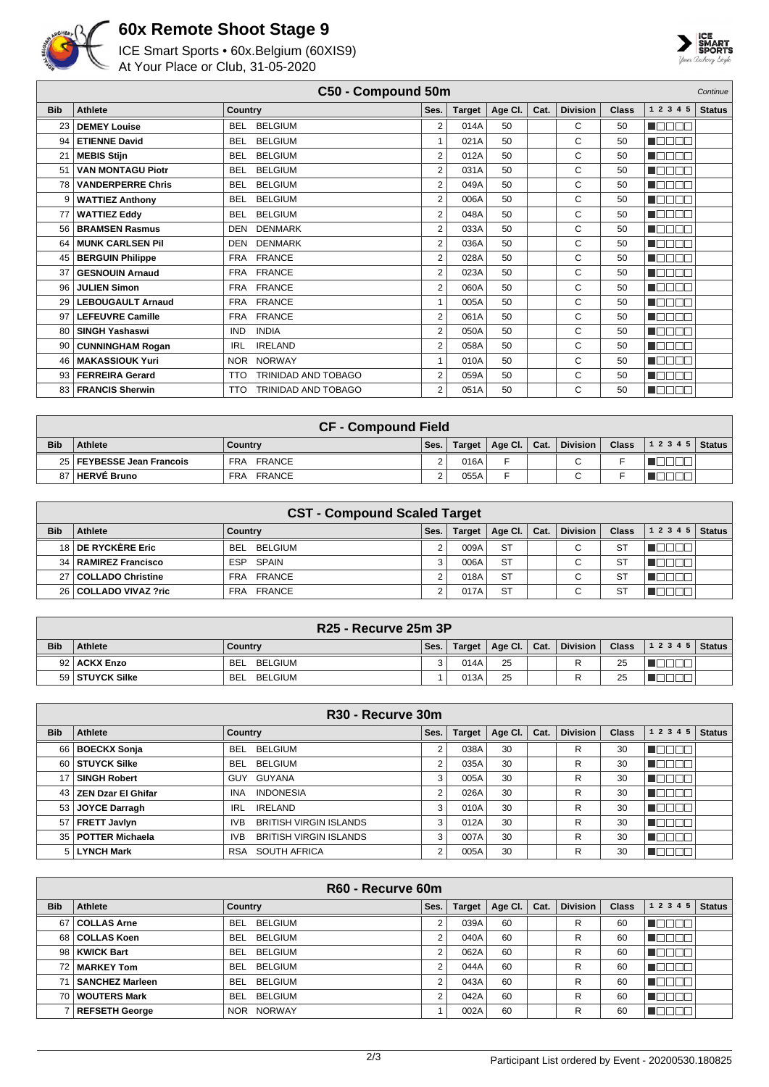

## **60x Remote Shoot Stage 9**

ICE Smart Sports • 60x.Belgium (60XIS9) At Your Place or Club, 31-05-2020



|            | C50 - Compound 50m<br>Continue |                                   |                |               |         |      |                 |              |            |               |
|------------|--------------------------------|-----------------------------------|----------------|---------------|---------|------|-----------------|--------------|------------|---------------|
| <b>Bib</b> | <b>Athlete</b>                 | Country                           | Ses.           | <b>Target</b> | Age Cl. | Cat. | <b>Division</b> | <b>Class</b> | 1 2 3 4 5  | <b>Status</b> |
| 23         | <b>DEMEY Louise</b>            | <b>BELGIUM</b><br><b>BFI</b>      | $\overline{2}$ | 014A          | 50      |      | C               | 50           | n Boon     |               |
| 94         | <b>ETIENNE David</b>           | <b>BELGIUM</b><br><b>BEL</b>      |                | 021A          | 50      |      | C               | 50           | n Belek    |               |
| 21         | <b>MEBIS Stijn</b>             | <b>BELGIUM</b><br><b>BEL</b>      | $\overline{2}$ | 012A          | 50      |      | C               | 50           | n e se     |               |
| 51         | <b>VAN MONTAGU Piotr</b>       | <b>BELGIUM</b><br><b>BEL</b>      | $\overline{2}$ | 031A          | 50      |      | C               | 50           | n an Daoin |               |
| 78         | <b>VANDERPERRE Chris</b>       | <b>BELGIUM</b><br><b>BEL</b>      | $\overline{2}$ | 049A          | 50      |      | C               | 50           | n Belein   |               |
| 9          | <b>WATTIEZ Anthony</b>         | <b>BELGIUM</b><br><b>BEL</b>      | $\overline{2}$ | 006A          | 50      |      | C               | 50           | n Belek    |               |
| 77         | <b>WATTIEZ Eddy</b>            | <b>BELGIUM</b><br><b>BEL</b>      | 2              | 048A          | 50      |      | C               | 50           | n Oo Oo    |               |
| 56         | <b>BRAMSEN Rasmus</b>          | <b>DENMARK</b><br>DEN             | 2              | 033A          | 50      |      | C               | 50           | n daaa     |               |
| 64         | <b>MUNK CARLSEN Pil</b>        | <b>DENMARK</b><br><b>DEN</b>      | $\overline{2}$ | 036A          | 50      |      | C               | 50           | n Boon     |               |
| 45         | <b>BERGUIN Philippe</b>        | FRA FRANCE                        | $\overline{2}$ | 028A          | 50      |      | C               | 50           | man an     |               |
| 37         | <b>GESNOUIN Arnaud</b>         | FRA FRANCE                        | $\overline{2}$ | 023A          | 50      |      | C               | 50           | ME E E E   |               |
| 96         | <b>JULIEN Simon</b>            | FRA FRANCE                        | $\overline{2}$ | 060A          | 50      |      | C               | 50           | HOOOO      |               |
| 29         | <b>LEBOUGAULT Arnaud</b>       | FRA FRANCE                        |                | 005A          | 50      |      | C               | 50           | n Boon     |               |
| 97         | <b>LEFEUVRE Camille</b>        | <b>FRANCE</b><br><b>FRA</b>       | $\overline{2}$ | 061A          | 50      |      | C               | 50           | n die se   |               |
| 80         | <b>SINGH Yashaswi</b>          | <b>INDIA</b><br><b>IND</b>        | $\overline{2}$ | 050A          | 50      |      | C               | 50           | n En En    |               |
| 90         | <b>CUNNINGHAM Rogan</b>        | <b>IRELAND</b><br><b>IRL</b>      | $\overline{2}$ | 058A          | 50      |      | C               | 50           | n daaa     |               |
| 46         | <b>MAKASSIOUK Yuri</b>         | NOR NORWAY                        | 1              | 010A          | 50      |      | C               | 50           | N BOED     |               |
| 93         | <b>FERREIRA Gerard</b>         | TRINIDAD AND TOBAGO<br><b>TTO</b> | 2              | 059A          | 50      |      | C               | 50           | n de de    |               |
| 83         | <b>FRANCIS Sherwin</b>         | TRINIDAD AND TOBAGO<br><b>TTO</b> | 2              | 051A          | 50      |      | C               | 50           | MA DE E    |               |

|            | <b>CF - Compound Field</b>  |               |      |        |                |  |                          |              |                |  |  |  |
|------------|-----------------------------|---------------|------|--------|----------------|--|--------------------------|--------------|----------------|--|--|--|
| <b>Bib</b> | <b>Athlete</b>              | Country       | Ses. | Target | Age Cl.   Cat. |  | <b>Division</b>          | <b>Class</b> | $12345$ Status |  |  |  |
|            | 25   FEYBESSE Jean Francois | FRA FRANCE    |      | 016A   | -              |  | $\sim$                   |              |                |  |  |  |
| 87         | 7 ∣ HERVÉ Bruno             | FRANCE<br>FRA |      | 055A   |                |  | $\overline{\phantom{0}}$ |              |                |  |  |  |

|            | <b>CST - Compound Scaled Target</b> |                       |      |               |           |      |                          |              |           |        |  |  |
|------------|-------------------------------------|-----------------------|------|---------------|-----------|------|--------------------------|--------------|-----------|--------|--|--|
| <b>Bib</b> | <b>Athlete</b>                      | Country               | Ses. | <b>Target</b> | Age Cl.   | Cat. | <b>Division</b>          | <b>Class</b> | 1 2 3 4 5 | Status |  |  |
|            | 18 DE RYCKÈRE Eric                  | BELGIUM<br><b>BEL</b> |      | 009A          | <b>ST</b> |      | ⌒                        | <b>ST</b>    |           |        |  |  |
|            | 34   RAMIREZ Francisco              | ESP SPAIN             |      | 006A          | <b>ST</b> |      | $\overline{\phantom{0}}$ | <b>ST</b>    |           |        |  |  |
|            | 27   COLLADO Christine              | FRA FRANCE            |      | 018A          | <b>ST</b> |      | $\overline{\phantom{0}}$ | <b>ST</b>    |           |        |  |  |
|            | 26   COLLADO VIVAZ ?ric             | FRA FRANCE            |      | 017A          | <b>ST</b> |      | $\sim$                   | <b>ST</b>    |           |        |  |  |

|            | R25 - Recurve 25m 3P |                |      |      |                         |  |          |              |                |  |  |  |
|------------|----------------------|----------------|------|------|-------------------------|--|----------|--------------|----------------|--|--|--|
| <b>Bib</b> | <b>Athlete</b>       | Country        | Ses. |      | Target   Age Cl.   Cat. |  | Division | <b>Class</b> | $12345$ Status |  |  |  |
|            | 92   ACKX Enzo       | BELGIUM<br>BEI | ર    | 014A | 25                      |  | D        | 25           |                |  |  |  |
|            | 59 STUYCK Silke      | BELGIUM<br>BEI |      | 013A | 25                      |  |          | 25           |                |  |  |  |

|            | R <sub>30</sub> - Recurve 30m |                                             |            |               |         |      |                 |              |           |               |  |
|------------|-------------------------------|---------------------------------------------|------------|---------------|---------|------|-----------------|--------------|-----------|---------------|--|
| <b>Bib</b> | Athlete                       | Country                                     | Ses.       | <b>Target</b> | Age Cl. | Cat. | <b>Division</b> | <b>Class</b> | 1 2 3 4 5 | <b>Status</b> |  |
|            | 66   BOECKX Sonja             | BELGIUM<br>BEL.                             |            | 038A          | 30      |      | R               | 30           |           |               |  |
|            | 60 STUYCK Silke               | <b>BELGIUM</b><br><b>BEL</b>                | 2          | 035A          | 30      |      | R               | 30           | البالي    |               |  |
| 17         | <b>SINGH Robert</b>           | GUYANA<br>GUY                               | 3          | 005A          | 30      |      | R               | 30           |           |               |  |
|            | 43   ZEN Dzar El Ghifar       | <b>INDONESIA</b><br><b>INA</b>              | $\sim$     | 026A          | 30      |      | R               | 30           | TOOOO     |               |  |
|            | 53 JOYCE Darragh              | <b>IRELAND</b><br><b>IRL</b>                |            | 010A          | 30      |      | R               | 30           |           |               |  |
| 57         | <b>FRETT Javlyn</b>           | <b>BRITISH VIRGIN ISLANDS</b><br><b>IVB</b> | 3          | 012A          | 30      |      | R               | 30           | 20 L L    |               |  |
|            | 35   POTTER Michaela          | <b>BRITISH VIRGIN ISLANDS</b><br><b>IVB</b> | $\sqrt{2}$ | 007A          | 30      |      | R               | 30           |           |               |  |
|            | 5   LYNCH Mark                | <b>SOUTH AFRICA</b><br><b>RSA</b>           | $\sim$     | 005A          | 30      |      | R               | 30           |           |               |  |

| R60 - Recurve 60m |                       |                             |        |               |         |      |                 |              |           |               |
|-------------------|-----------------------|-----------------------------|--------|---------------|---------|------|-----------------|--------------|-----------|---------------|
| <b>Bib</b>        | Athlete               | Country                     | Ses.   | <b>Target</b> | Age Cl. | Cat. | <b>Division</b> | <b>Class</b> | 1 2 3 4 5 | <b>Status</b> |
| 67 I              | <b>COLLAS Arne</b>    | <b>BEL</b><br>BELGIUM       |        | 039A          | 60      |      | R               | 60           |           |               |
|                   | 68   COLLAS Koen      | <b>BELGIUM</b><br>BEL       | 2      | 040A          | 60      |      | R               | 60           |           |               |
|                   | 98   KWICK Bart       | <b>BELGIUM</b><br>BEL       |        | 062A          | 60      |      | R               | 60           |           |               |
|                   | 72 MARKEY Tom         | <b>BELGIUM</b><br>BEL       | $\sim$ | 044A          | 60      |      | R               | 60           |           |               |
| 71                | SANCHEZ Marleen       | <b>BELGIUM</b><br>BEL       | 2      | 043A          | 60      |      | R               | 60           |           |               |
|                   | 70   WOUTERS Mark     | <b>BELGIUM</b><br>BEL       | C      | 042A          | 60      |      | R               | 60           |           |               |
|                   | <b>REFSETH George</b> | <b>NORWAY</b><br><b>NOR</b> |        | 002A          | 60      |      | R               | 60           |           |               |